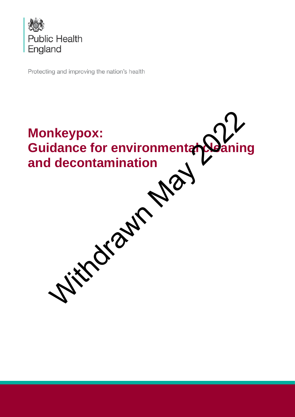

Protecting and improving the nation's health

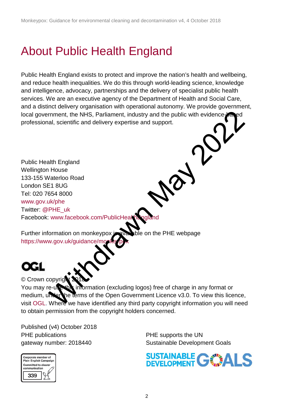# About Public Health England

Public Health England exists to protect and improve the nation's health and wellbeing, and reduce health inequalities. We do this through world-leading science, knowledge and intelligence, advocacy, partnerships and the delivery of specialist public health services. We are an executive agency of the Department of Health and Social Care, and a distinct delivery organisation with operational autonomy. We provide government, local government, the NHS, Parliament, industry and the public with evidenceprofessional, scientific and delivery expertise and support.

Public Health England Wellington House 133-155 Waterloo Road London SE1 8UG Tel: 020 7654 8000 [www.gov.uk/phe](http://www.gov.uk/phe)  Twitter: @PHE\_uk Facebook: www.facebook.com/PublicHealthEngl mment, the NHS, Parliament, industry and the public with evidence<br>all, scientific and delivery expertise and support.<br>
alth England<br>
House<br>
Vaterloo Road<br>
Where www.facebook.com/PublicHear and Support<br>
Where we wise the Co

Further information on monkeypox is available on the PHE webpage https://www.gov.uk/guidance/mon

© Crown copyrig You may re-use this information (excluding logos) free of charge in any format or medium, under the terms of the Open Government Licence v3.0. To view this licence, visit [OGL.](https://www.nationalarchives.gov.uk/doc/open-government-licence/version/3/) Where we have identified any third party copyright information you will need to obtain permission from the copyright holders concerned.

Published (v4) October 2018 PHE publications **PHE** supports the UN



gateway number: 2018440 Sustainable Development Goals

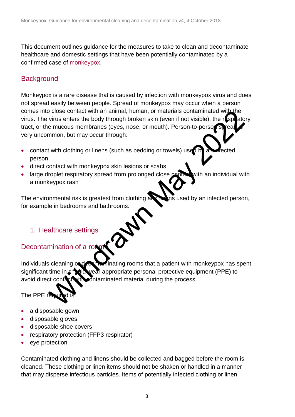This document outlines guidance for the measures to take to clean and decontaminate healthcare and domestic settings that have been potentially contaminated by a confirmed case of [monkeypox.](https://www.gov.uk/guidance/monkeypox)

#### **Background**

Monkeypox is a rare disease that is caused by infection with monkeypox virus and does not spread easily between people. Spread of monkeypox may occur when a person comes into close contact with an animal, human, or materials contaminated with the virus. The virus enters the body through broken skin (even if not visible), the respeatory tract, or the mucous membranes (eyes, nose, or mouth). Person-to-person sp very uncommon, but may occur through: order when an animal, numan, or materials contaminated with the virtus enters the body through incidents wish (even if not visible), the respective murcous membranes (eyes, nose, or mouth). Person-to-perso steps and the mu

- contact with clothing or linens (such as bedding or towels) used by an intected person
- direct contact with monkeypox skin lesions or scabs
- large droplet respiratory spread from prolonged close contact with an individual with a monkeypox rash

The environmental risk is greatest from clothing and line insured by an infected person, for example in bedrooms and bathrooms.

#### 1. Healthcare settings

#### Decontamination of a rod

Individuals cleaning or decontaminating rooms that a patient with monkeypox has spent significant time in should wear appropriate personal protective equipment (PPE) to avoid direct contact with contaminated material during the process.

### The PPE re

- a disposable gown
- disposable gloves
- disposable shoe covers
- respiratory protection (FFP3 respirator)
- eye protection

Contaminated clothing and linens should be collected and bagged before the room is cleaned. These clothing or linen items should not be shaken or handled in a manner that may disperse infectious particles. Items of potentially infected clothing or linen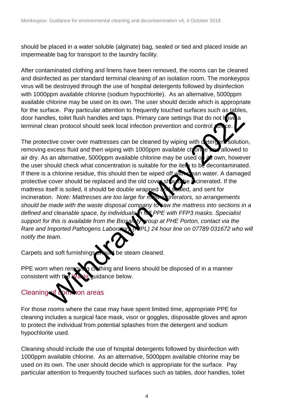should be placed in a water soluble (alginate) bag, sealed or tied and placed inside an impermeable bag for transport to the laundry facility.

After contaminated clothing and linens have been removed, the rooms can be cleaned and disinfected as per standard terminal cleaning of an isolation room. The monkeypox virus will be destroyed through the use of hospital detergents followed by disinfection with 1000ppm available chlorine (sodium hypochlorite). As an alternative, 5000ppm available chlorine may be used on its own. The user should decide which is appropriate for the surface. Pay particular attention to frequently touched surfaces such as tables, door handles, toilet flush handles and taps. Primary care settings that do not have a terminal clean protocol should seek local infection prevention and control  $\overline{\overline{a}}$ 

The protective cover over mattresses can be cleaned by wiping with detergent solution, removing excess fluid and then wiping with 1000ppm available chorine and allowed to air dry. As an alternative, 5000ppm available chlorine may be used on its own, however the user should check what concentration is suitable for the item to be decontaminated. If there is a chlorine residue, this should then be wiped off with clean water. A damaged protective cover should be replaced and the old cover should be incinerated. If the mattress itself is soiled, it should be double wrapped and sealed, and sent for incineration. *Note: Mattresses are too large for most incinerators, so arrangements should be made with the waste disposal company to saw the mattress into sections in a defined and cleanable space, by individuals in full PPE with FFP3 masks. Specialist support for this is available from the Biosafety group at PHE Porton, contact via the Rare and Imported Pathogens Laboratory (RIPL) 24 hour line on 07789 031672 who will notify the team*. Here. Pay particular attention to the determination of the state of the state of the state of the state of the state of the state of the state of the state of the state of the state of the state of the state of the state o

Carpets and soft furnishings should be steam cleaned.

PPE worn when removing clothing and linens should be disposed of in a manner consistent with the Waste guidance below.

## Cleaning of common areas

For those rooms where the case may have spent limited time, appropriate PPE for cleaning includes a surgical face mask, visor or goggles, disposable gloves and apron to protect the individual from potential splashes from the detergent and sodium hypochlorite used.

Cleaning should include the use of hospital detergents followed by disinfection with 1000ppm available chlorine. As an alternative, 5000ppm available chlorine may be used on its own. The user should decide which is appropriate for the surface. Pay particular attention to frequently touched surfaces such as tables, door handles, toilet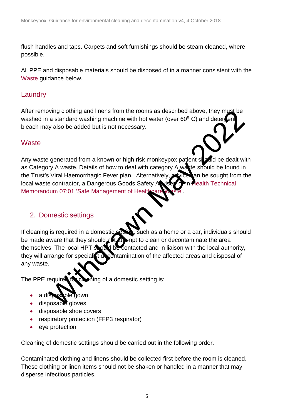flush handles and taps. Carpets and soft furnishings should be steam cleaned, where possible.

All PPE and disposable materials should be disposed of in a manner consistent with the [Waste](#page-4-0) guidance below.

#### **Laundry**

After removing clothing and linens from the rooms as described above, they must be washed in a standard washing machine with hot water (over  $60^{\circ}$  C) and deter en bleach may also be added but is not necessary.

#### <span id="page-4-0"></span>**Waste**

Any waste generated from a known or high risk monkeypox patient stated be dealt with as Category A waste. Details of how to deal with category A was te should be found in the Trust's Viral Haemorrhagic Fever plan. Alternatively, which an be sought from the local waste contractor, a Dangerous Goods Safety Aniser or in Health Technical Memorandum 07:01 'Safe Management of Healthcare

#### 2. Domestic settings



The PPE required for cheming of a domestic setting is:

- a disposable gown
- disposable gloves
- disposable shoe covers
- respiratory protection (FFP3 respirator)
- eye protection

Cleaning of domestic settings should be carried out in the following order.

Contaminated clothing and linens should be collected first before the room is cleaned. These clothing or linen items should not be shaken or handled in a manner that may disperse infectious particles.